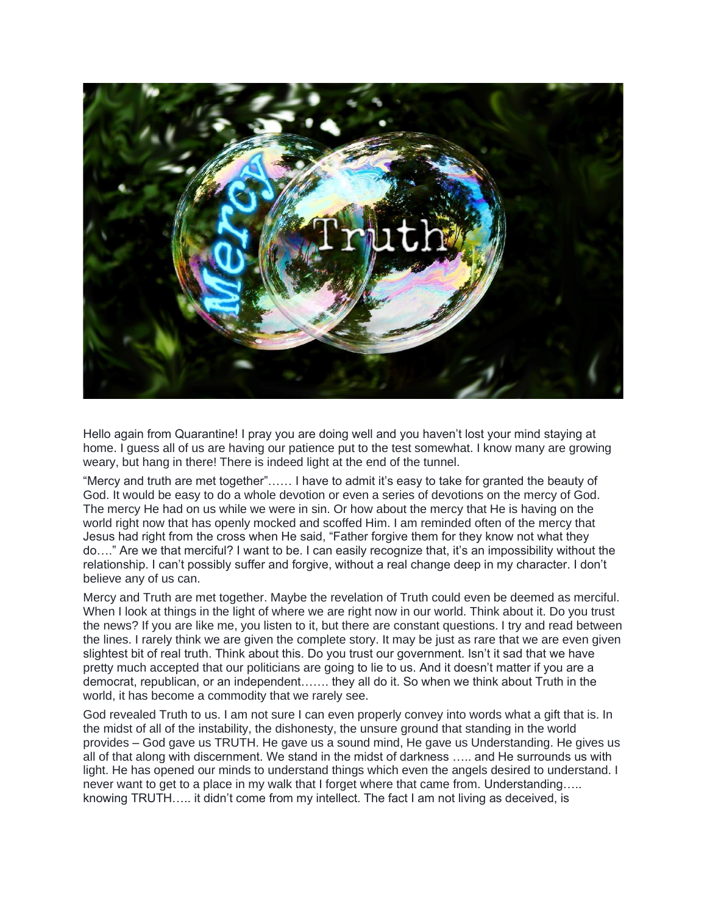

Hello again from Quarantine! I pray you are doing well and you haven't lost your mind staying at home. I guess all of us are having our patience put to the test somewhat. I know many are growing weary, but hang in there! There is indeed light at the end of the tunnel.

"Mercy and truth are met together"…… I have to admit it's easy to take for granted the beauty of God. It would be easy to do a whole devotion or even a series of devotions on the mercy of God. The mercy He had on us while we were in sin. Or how about the mercy that He is having on the world right now that has openly mocked and scoffed Him. I am reminded often of the mercy that Jesus had right from the cross when He said, "Father forgive them for they know not what they do…." Are we that merciful? I want to be. I can easily recognize that, it's an impossibility without the relationship. I can't possibly suffer and forgive, without a real change deep in my character. I don't believe any of us can.

Mercy and Truth are met together. Maybe the revelation of Truth could even be deemed as merciful. When I look at things in the light of where we are right now in our world. Think about it. Do you trust the news? If you are like me, you listen to it, but there are constant questions. I try and read between the lines. I rarely think we are given the complete story. It may be just as rare that we are even given slightest bit of real truth. Think about this. Do you trust our government. Isn't it sad that we have pretty much accepted that our politicians are going to lie to us. And it doesn't matter if you are a democrat, republican, or an independent……. they all do it. So when we think about Truth in the world, it has become a commodity that we rarely see.

God revealed Truth to us. I am not sure I can even properly convey into words what a gift that is. In the midst of all of the instability, the dishonesty, the unsure ground that standing in the world provides – God gave us TRUTH. He gave us a sound mind, He gave us Understanding. He gives us all of that along with discernment. We stand in the midst of darkness ….. and He surrounds us with light. He has opened our minds to understand things which even the angels desired to understand. I never want to get to a place in my walk that I forget where that came from. Understanding….. knowing TRUTH….. it didn't come from my intellect. The fact I am not living as deceived, is